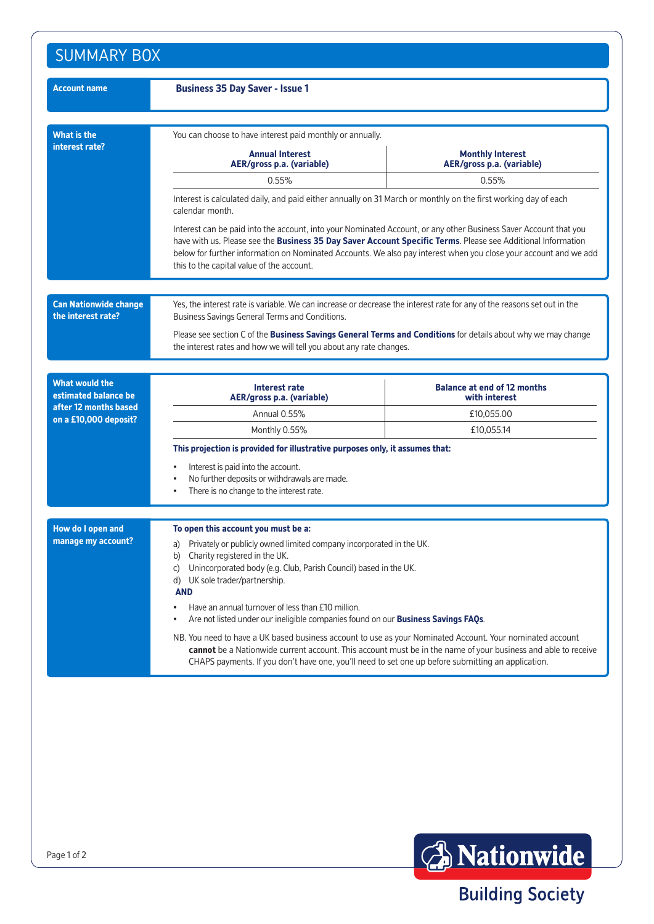| <b>Account name</b>                                | <b>Business 35 Day Saver - Issue 1</b>                                                                                                                                                                                                                                                                                                                                                            |            |  |
|----------------------------------------------------|---------------------------------------------------------------------------------------------------------------------------------------------------------------------------------------------------------------------------------------------------------------------------------------------------------------------------------------------------------------------------------------------------|------------|--|
| <b>What is the</b><br>interest rate?               | You can choose to have interest paid monthly or annually.<br><b>Annual Interest</b><br><b>Monthly Interest</b><br>AER/gross p.a. (variable)<br>AER/gross p.a. (variable)                                                                                                                                                                                                                          |            |  |
|                                                    | 0.55%                                                                                                                                                                                                                                                                                                                                                                                             | 0.55%      |  |
|                                                    | Interest is calculated daily, and paid either annually on 31 March or monthly on the first working day of each<br>calendar month.                                                                                                                                                                                                                                                                 |            |  |
|                                                    | Interest can be paid into the account, into your Nominated Account, or any other Business Saver Account that you<br>have with us. Please see the Business 35 Day Saver Account Specific Terms. Please see Additional Information<br>below for further information on Nominated Accounts. We also pay interest when you close your account and we add<br>this to the capital value of the account. |            |  |
| <b>Can Nationwide change</b><br>the interest rate? | Yes, the interest rate is variable. We can increase or decrease the interest rate for any of the reasons set out in the<br>Business Savings General Terms and Conditions.                                                                                                                                                                                                                         |            |  |
|                                                    | Please see section C of the Business Savings General Terms and Conditions for details about why we may change<br>the interest rates and how we will tell you about any rate changes.                                                                                                                                                                                                              |            |  |
| <b>What would the</b><br>estimated balance be      | <b>Balance at end of 12 months</b><br>Interest rate<br>AER/gross p.a. (variable)<br>with interest                                                                                                                                                                                                                                                                                                 |            |  |
| after 12 months based<br>on a £10,000 deposit?     | Annual 0.55%                                                                                                                                                                                                                                                                                                                                                                                      | £10,055.00 |  |
|                                                    | Monthly 0.55%                                                                                                                                                                                                                                                                                                                                                                                     | £10,055.14 |  |
|                                                    | This projection is provided for illustrative purposes only, it assumes that:                                                                                                                                                                                                                                                                                                                      |            |  |
|                                                    | Interest is paid into the account.<br>No further deposits or withdrawals are made.<br>There is no change to the interest rate.                                                                                                                                                                                                                                                                    |            |  |
| How do I open and                                  | To open this account you must be a:                                                                                                                                                                                                                                                                                                                                                               |            |  |
| manage my account?                                 | Privately or publicly owned limited company incorporated in the UK.<br>a)<br>Charity registered in the UK.<br>b)<br>Unincorporated body (e.g. Club, Parish Council) based in the UK.<br>C)<br>d) UK sole trader/partnership.<br><b>AND</b>                                                                                                                                                        |            |  |
|                                                    | Have an annual turnover of less than £10 million.<br>٠<br>Are not listed under our ineligible companies found on our <b>Business Savings FAOs.</b>                                                                                                                                                                                                                                                |            |  |
|                                                    | NB. You need to have a UK based business account to use as your Nominated Account. Your nominated account<br>cannot be a Nationwide current account. This account must be in the name of your business and able to receive<br>CHAPS payments. If you don't have one, you'll need to set one up before submitting an application.                                                                  |            |  |



**Building Society**